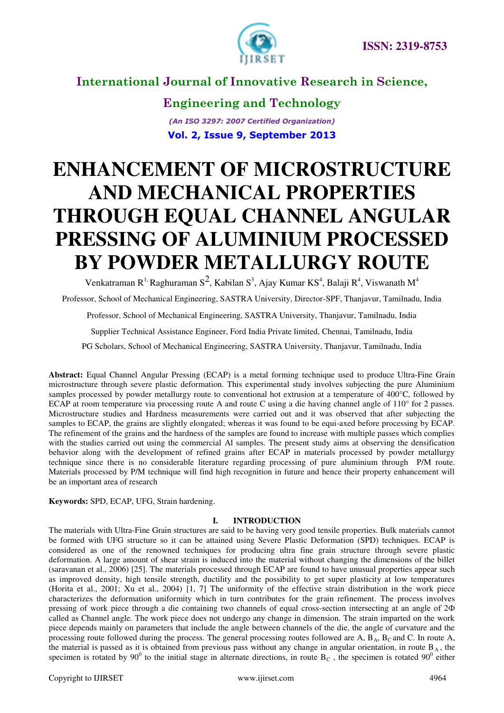

**Engineering and Technology** *(An ISO 3297: 2007 Certified Organization)*  **Vol. 2, Issue 9, September 2013**

# **ENHANCEMENT OF MICROSTRUCTURE AND MECHANICAL PROPERTIES THROUGH EQUAL CHANNEL ANGULAR PRESSING OF ALUMINIUM PROCESSED BY POWDER METALLURGY ROUTE**

Venkatraman  $R^1$  Raghuraman  $S^2$ , Kabilan  $S^3$ , Ajay Kumar K $S^4$ , Balaji  $R^4$ , Viswanath M<sup>4</sup> Professor, School of Mechanical Engineering, SASTRA University, Director-SPF, Thanjavur, Tamilnadu, India

Professor, School of Mechanical Engineering, SASTRA University, Thanjavur, Tamilnadu, India

Supplier Technical Assistance Engineer, Ford India Private limited, Chennai, Tamilnadu, India

PG Scholars, School of Mechanical Engineering, SASTRA University, Thanjavur, Tamilnadu, India

**Abstract:** Equal Channel Angular Pressing (ECAP) is a metal forming technique used to produce Ultra-Fine Grain microstructure through severe plastic deformation. This experimental study involves subjecting the pure Aluminium samples processed by powder metallurgy route to conventional hot extrusion at a temperature of 400°C, followed by ECAP at room temperature via processing route A and route C using a die having channel angle of 110° for 2 passes. Microstructure studies and Hardness measurements were carried out and it was observed that after subjecting the samples to ECAP, the grains are slightly elongated; whereas it was found to be equi-axed before processing by ECAP. The refinement of the grains and the hardness of the samples are found to increase with multiple passes which complies with the studies carried out using the commercial Al samples. The present study aims at observing the densification behavior along with the development of refined grains after ECAP in materials processed by powder metallurgy technique since there is no considerable literature regarding processing of pure aluminium through P/M route. Materials processed by P/M technique will find high recognition in future and hence their property enhancement will be an important area of research

**Keywords:** SPD, ECAP, UFG, Strain hardening.

#### **I. INTRODUCTION**

The materials with Ultra-Fine Grain structures are said to be having very good tensile properties. Bulk materials cannot be formed with UFG structure so it can be attained using Severe Plastic Deformation (SPD) techniques. ECAP is considered as one of the renowned techniques for producing ultra fine grain structure through severe plastic deformation. A large amount of shear strain is induced into the material without changing the dimensions of the billet (saravanan et al., 2006) [25]. The materials processed through ECAP are found to have unusual properties appear such as improved density, high tensile strength, ductility and the possibility to get super plasticity at low temperatures (Horita et al., 2001; Xu et al., 2004) [1, 7] The uniformity of the effective strain distribution in the work piece characterizes the deformation uniformity which in turn contributes for the grain refinement. The process involves pressing of work piece through a die containing two channels of equal cross-section intersecting at an angle of 2Ф called as Channel angle. The work piece does not undergo any change in dimension. The strain imparted on the work piece depends mainly on parameters that include the angle between channels of the die, the angle of curvature and the processing route followed during the process. The general processing routes followed are A,  $B_A$ ,  $B_C$  and C. In route A, the material is passed as it is obtained from previous pass without any change in angular orientation, in route  $B_A$ , the specimen is rotated by  $90^0$  to the initial stage in alternate directions, in route B<sub>C</sub>, the specimen is rotated  $90^0$  either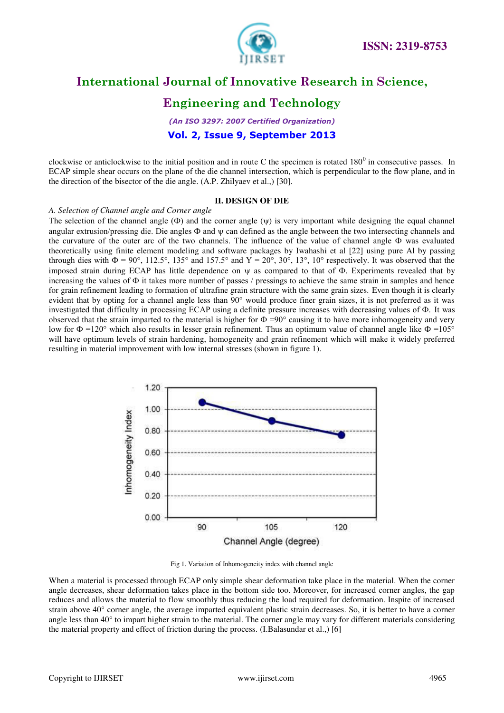

### **Engineering and Technology**

*(An ISO 3297: 2007 Certified Organization)*  **Vol. 2, Issue 9, September 2013**

clockwise or anticlockwise to the initial position and in route C the specimen is rotated  $180^0$  in consecutive passes. In ECAP simple shear occurs on the plane of the die channel intersection, which is perpendicular to the flow plane, and in the direction of the bisector of the die angle. (A.P. Zhilyaev et al.,) [30].

#### **II. DESIGN OF DIE**

#### *A. Selection of Channel angle and Corner angle*

The selection of the channel angle  $(\Phi)$  and the corner angle  $(\psi)$  is very important while designing the equal channel angular extrusion/pressing die. Die angles  $\Phi$  and  $\psi$  can defined as the angle between the two intersecting channels and the curvature of the outer arc of the two channels. The influence of the value of channel angle Ф was evaluated theoretically using finite element modeling and software packages by Iwahashi et al [22] using pure Al by passing through dies with  $\Phi = 90^\circ$ , 112.5°, 135° and 157.5° and  $\overline{Y} = 20^\circ$ , 30°, 13°, 10° respectively. It was observed that the imposed strain during ECAP has little dependence on  $\psi$  as compared to that of  $\Phi$ . Experiments revealed that by increasing the values of Ф it takes more number of passes / pressings to achieve the same strain in samples and hence for grain refinement leading to formation of ultrafine grain structure with the same grain sizes. Even though it is clearly evident that by opting for a channel angle less than 90° would produce finer grain sizes, it is not preferred as it was investigated that difficulty in processing ECAP using a definite pressure increases with decreasing values of Ф. It was observed that the strain imparted to the material is higher for  $\Phi = 90^\circ$  causing it to have more inhomogeneity and very low for  $\Phi = 120^\circ$  which also results in lesser grain refinement. Thus an optimum value of channel angle like  $\Phi = 105^\circ$ will have optimum levels of strain hardening, homogeneity and grain refinement which will make it widely preferred resulting in material improvement with low internal stresses (shown in figure 1).



Fig 1. Variation of Inhomogeneity index with channel angle

When a material is processed through ECAP only simple shear deformation take place in the material. When the corner angle decreases, shear deformation takes place in the bottom side too. Moreover, for increased corner angles, the gap reduces and allows the material to flow smoothly thus reducing the load required for deformation. Inspite of increased strain above 40° corner angle, the average imparted equivalent plastic strain decreases. So, it is better to have a corner angle less than  $40^{\circ}$  to impart higher strain to the material. The corner angle may vary for different materials considering the material property and effect of friction during the process. (I.Balasundar et al.,) [6]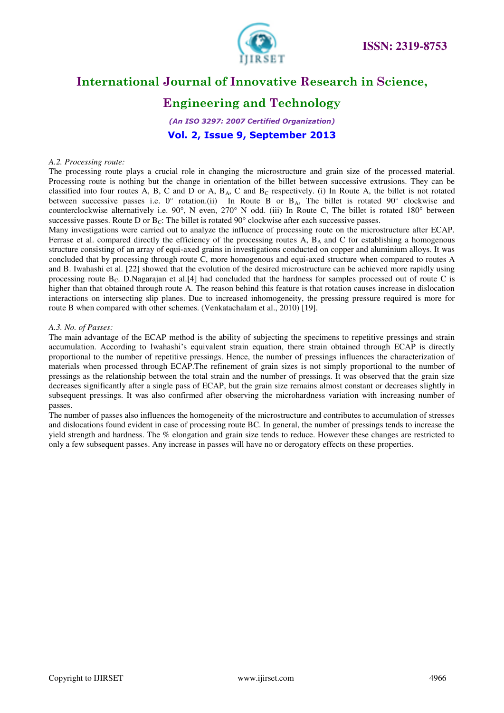

### **Engineering and Technology**

*(An ISO 3297: 2007 Certified Organization)*  **Vol. 2, Issue 9, September 2013**

#### *A.2. Processing route:*

The processing route plays a crucial role in changing the microstructure and grain size of the processed material. Processing route is nothing but the change in orientation of the billet between successive extrusions. They can be classified into four routes A, B, C and D or A,  $B_A$ , C and  $B_C$  respectively. (i) In Route A, the billet is not rotated between successive passes i.e.  $0^{\circ}$  rotation.(ii) In Route B or B<sub>A</sub>, The billet is rotated 90° clockwise and counterclockwise alternatively i.e. 90°, N even, 270° N odd. (iii) In Route C, The billet is rotated 180° between successive passes. Route D or  $B<sub>C</sub>$ : The billet is rotated 90° clockwise after each successive passes.

Many investigations were carried out to analyze the influence of processing route on the microstructure after ECAP. Ferrase et al. compared directly the efficiency of the processing routes A,  $B_A$  and C for establishing a homogenous structure consisting of an array of equi-axed grains in investigations conducted on copper and aluminium alloys. It was concluded that by processing through route C, more homogenous and equi-axed structure when compared to routes A and B. Iwahashi et al. [22] showed that the evolution of the desired microstructure can be achieved more rapidly using processing route  $B_C$ . D.Nagarajan et al.[4] had concluded that the hardness for samples processed out of route C is higher than that obtained through route A. The reason behind this feature is that rotation causes increase in dislocation interactions on intersecting slip planes. Due to increased inhomogeneity, the pressing pressure required is more for route B when compared with other schemes. (Venkatachalam et al., 2010) [19].

#### *A.3. No. of Passes:*

The main advantage of the ECAP method is the ability of subjecting the specimens to repetitive pressings and strain accumulation. According to Iwahashi's equivalent strain equation, there strain obtained through ECAP is directly proportional to the number of repetitive pressings. Hence, the number of pressings influences the characterization of materials when processed through ECAP.The refinement of grain sizes is not simply proportional to the number of pressings as the relationship between the total strain and the number of pressings. It was observed that the grain size decreases significantly after a single pass of ECAP, but the grain size remains almost constant or decreases slightly in subsequent pressings. It was also confirmed after observing the microhardness variation with increasing number of passes.

The number of passes also influences the homogeneity of the microstructure and contributes to accumulation of stresses and dislocations found evident in case of processing route BC. In general, the number of pressings tends to increase the yield strength and hardness. The % elongation and grain size tends to reduce. However these changes are restricted to only a few subsequent passes. Any increase in passes will have no or derogatory effects on these properties.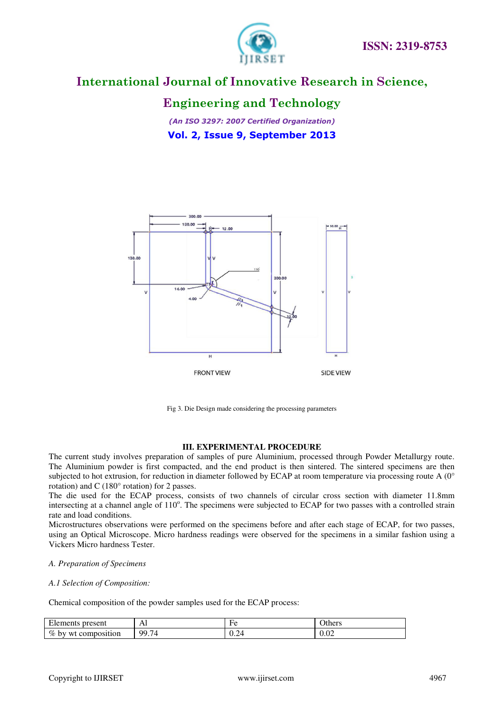

### **Engineering and Technology**

*(An ISO 3297: 2007 Certified Organization)*  **Vol. 2, Issue 9, September 2013**



Fig 3. Die Design made considering the processing parameters

#### **III. EXPERIMENTAL PROCEDURE**

The current study involves preparation of samples of pure Aluminium, processed through Powder Metallurgy route. The Aluminium powder is first compacted, and the end product is then sintered. The sintered specimens are then subjected to hot extrusion, for reduction in diameter followed by ECAP at room temperature via processing route A (0° rotation) and C (180° rotation) for 2 passes.

The die used for the ECAP process, consists of two channels of circular cross section with diameter 11.8mm intersecting at a channel angle of 110°. The specimens were subjected to ECAP for two passes with a controlled strain rate and load conditions.

Microstructures observations were performed on the specimens before and after each stage of ECAP, for two passes, using an Optical Microscope. Micro hardness readings were observed for the specimens in a similar fashion using a Vickers Micro hardness Tester.

#### *A. Preparation of Specimens*

#### *A.1 Selection of Composition:*

Chemical composition of the powder samples used for the ECAP process:

| $\mathbf{r}$<br>present<br><b>Elements</b> | гм    | но                | Others           |
|--------------------------------------------|-------|-------------------|------------------|
| $\%$ by<br>t composition<br>wt             | 99.74 | $\sim$ . $\sim$ 1 | $\Omega$<br>v.v∠ |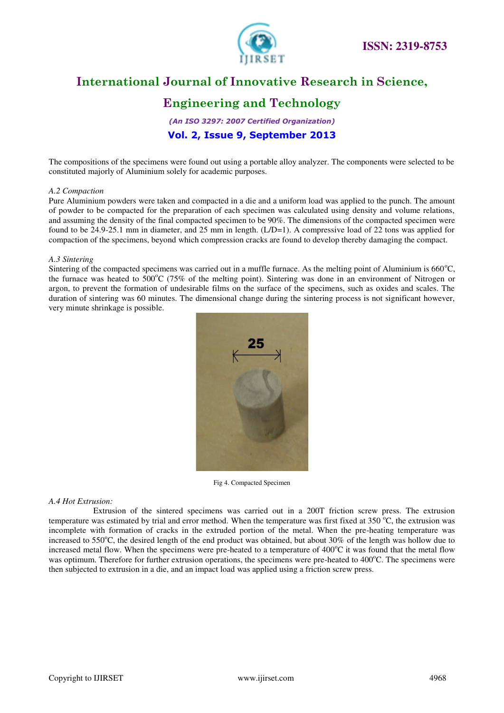

## **Engineering and Technology**

*(An ISO 3297: 2007 Certified Organization)*  **Vol. 2, Issue 9, September 2013**

The compositions of the specimens were found out using a portable alloy analyzer. The components were selected to be constituted majorly of Aluminium solely for academic purposes.

#### *A.2 Compaction*

Pure Aluminium powders were taken and compacted in a die and a uniform load was applied to the punch. The amount of powder to be compacted for the preparation of each specimen was calculated using density and volume relations, and assuming the density of the final compacted specimen to be 90%. The dimensions of the compacted specimen were found to be 24.9-25.1 mm in diameter, and 25 mm in length.  $(L/D=1)$ . A compressive load of 22 tons was applied for compaction of the specimens, beyond which compression cracks are found to develop thereby damaging the compact.

#### *A.3 Sintering*

Sintering of the compacted specimens was carried out in a muffle furnace. As the melting point of Aluminium is  $660^{\circ}$ C, the furnace was heated to  $500^{\circ}$ C (75% of the melting point). Sintering was done in an environment of Nitrogen or argon, to prevent the formation of undesirable films on the surface of the specimens, such as oxides and scales. The duration of sintering was 60 minutes. The dimensional change during the sintering process is not significant however, very minute shrinkage is possible.



Fig 4. Compacted Specimen

#### *A.4 Hot Extrusion:*

Extrusion of the sintered specimens was carried out in a 200T friction screw press. The extrusion temperature was estimated by trial and error method. When the temperature was first fixed at 350  $^{\circ}$ C, the extrusion was incomplete with formation of cracks in the extruded portion of the metal. When the pre-heating temperature was increased to 550 $^{\circ}$ C, the desired length of the end product was obtained, but about 30% of the length was hollow due to increased metal flow. When the specimens were pre-heated to a temperature of  $400^{\circ}$ C it was found that the metal flow was optimum. Therefore for further extrusion operations, the specimens were pre-heated to  $400^{\circ}$ C. The specimens were then subjected to extrusion in a die, and an impact load was applied using a friction screw press.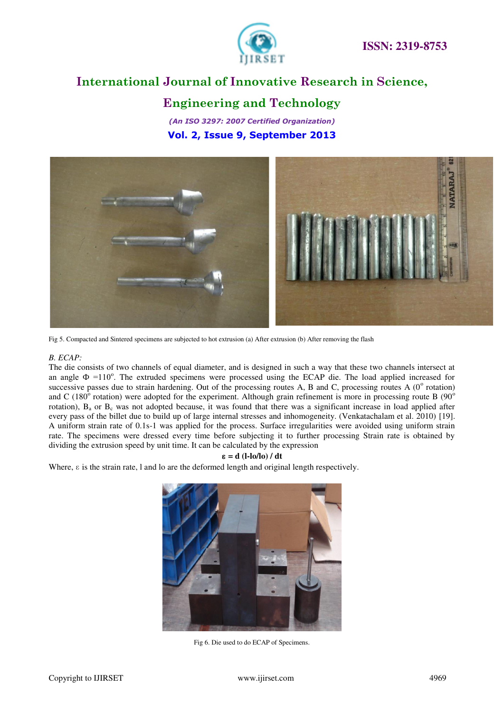

### **Engineering and Technology**

*(An ISO 3297: 2007 Certified Organization)*  **Vol. 2, Issue 9, September 2013**



Fig 5. Compacted and Sintered specimens are subjected to hot extrusion (a) After extrusion (b) After removing the flash

#### *B. ECAP:*

The die consists of two channels of equal diameter, and is designed in such a way that these two channels intersect at an angle  $\Phi$  =110°. The extruded specimens were processed using the ECAP die. The load applied increased for successive passes due to strain hardening. Out of the processing routes A, B and C, processing routes A  $(0^{\circ}$  rotation) and C (180 $^{\circ}$  rotation) were adopted for the experiment. Although grain refinement is more in processing route B (90 $^{\circ}$ rotation),  $B_a$  or  $B_c$  was not adopted because, it was found that there was a significant increase in load applied after every pass of the billet due to build up of large internal stresses and inhomogeneity. (Venkatachalam et al. 2010) [19]. A uniform strain rate of 0.1s-1 was applied for the process. Surface irregularities were avoided using uniform strain rate. The specimens were dressed every time before subjecting it to further processing Strain rate is obtained by dividing the extrusion speed by unit time. It can be calculated by the expression

#### ɛ **= d (l-lo/lo) / dt**

Where, ɛ is the strain rate, l and lo are the deformed length and original length respectively.



Fig 6. Die used to do ECAP of Specimens.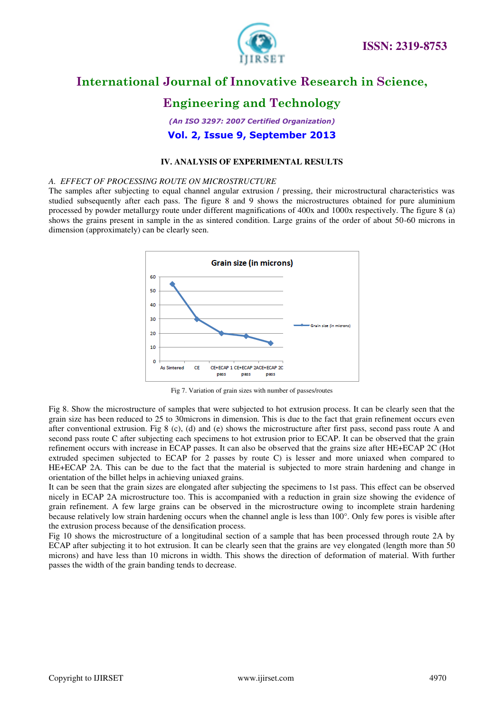

### **Engineering and Technology**

*(An ISO 3297: 2007 Certified Organization)*  **Vol. 2, Issue 9, September 2013**

#### **IV. ANALYSIS OF EXPERIMENTAL RESULTS**

#### *A. EFFECT OF PROCESSING ROUTE ON MICROSTRUCTURE*

The samples after subjecting to equal channel angular extrusion / pressing, their microstructural characteristics was studied subsequently after each pass. The figure 8 and 9 shows the microstructures obtained for pure aluminium processed by powder metallurgy route under different magnifications of 400x and 1000x respectively. The figure 8 (a) shows the grains present in sample in the as sintered condition. Large grains of the order of about 50-60 microns in dimension (approximately) can be clearly seen.



Fig 7. Variation of grain sizes with number of passes/routes

Fig 8. Show the microstructure of samples that were subjected to hot extrusion process. It can be clearly seen that the grain size has been reduced to 25 to 30microns in dimension. This is due to the fact that grain refinement occurs even after conventional extrusion. Fig 8 (c), (d) and (e) shows the microstructure after first pass, second pass route A and second pass route C after subjecting each specimens to hot extrusion prior to ECAP. It can be observed that the grain refinement occurs with increase in ECAP passes. It can also be observed that the grains size after HE+ECAP 2C (Hot extruded specimen subjected to ECAP for 2 passes by route C) is lesser and more uniaxed when compared to HE+ECAP 2A. This can be due to the fact that the material is subjected to more strain hardening and change in orientation of the billet helps in achieving uniaxed grains.

It can be seen that the grain sizes are elongated after subjecting the specimens to 1st pass. This effect can be observed nicely in ECAP 2A microstructure too. This is accompanied with a reduction in grain size showing the evidence of grain refinement. A few large grains can be observed in the microstructure owing to incomplete strain hardening because relatively low strain hardening occurs when the channel angle is less than 100°. Only few pores is visible after the extrusion process because of the densification process.

Fig 10 shows the microstructure of a longitudinal section of a sample that has been processed through route 2A by ECAP after subjecting it to hot extrusion. It can be clearly seen that the grains are vey elongated (length more than 50 microns) and have less than 10 microns in width. This shows the direction of deformation of material. With further passes the width of the grain banding tends to decrease.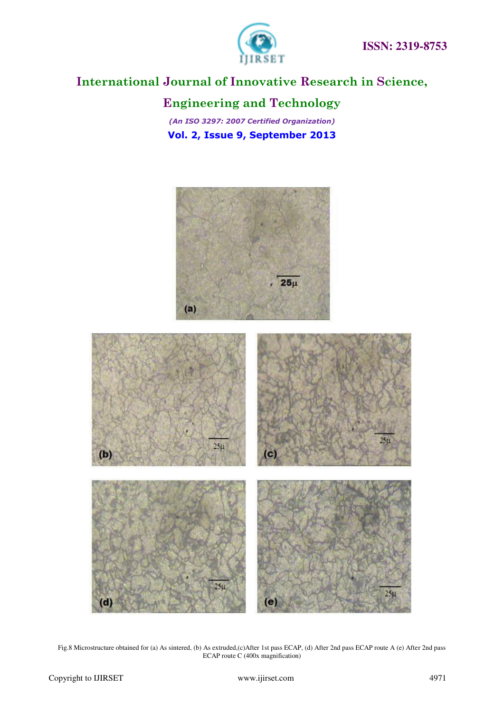

# **Engineering and Technology**

*(An ISO 3297: 2007 Certified Organization)*  **Vol. 2, Issue 9, September 2013**



Fig.8 Microstructure obtained for (a) As sintered, (b) As extruded,(c)After 1st pass ECAP, (d) After 2nd pass ECAP route A (e) After 2nd pass ECAP route C (400x magnification)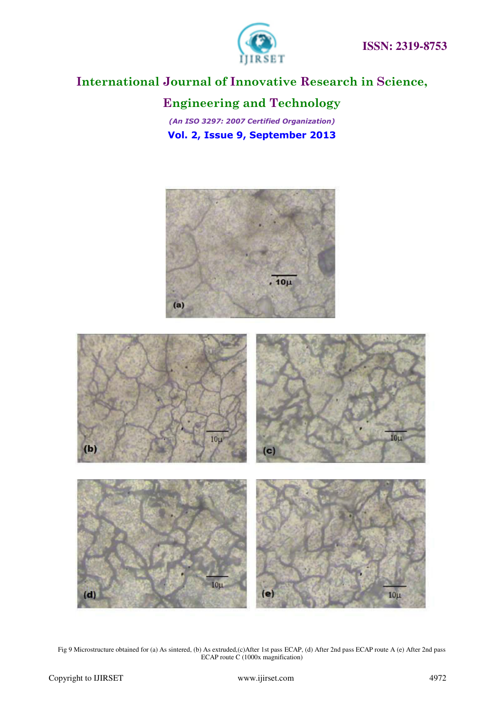

# **Engineering and Technology**

*(An ISO 3297: 2007 Certified Organization)*  **Vol. 2, Issue 9, September 2013**



Fig 9 Microstructure obtained for (a) As sintered, (b) As extruded,(c)After 1st pass ECAP, (d) After 2nd pass ECAP route A (e) After 2nd pass ECAP route C (1000x magnification)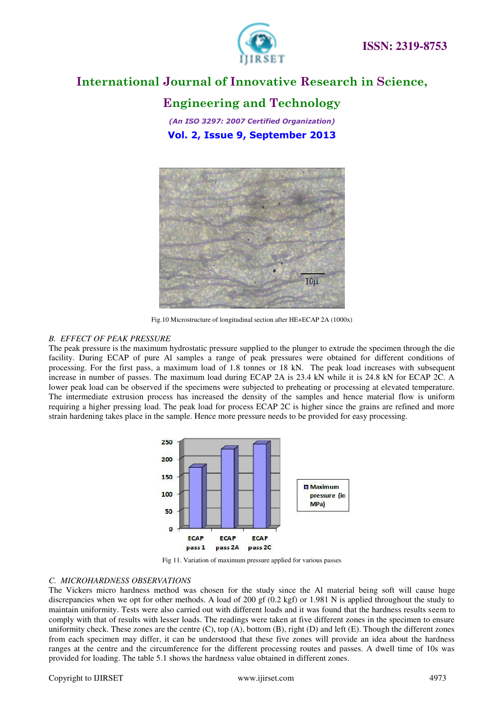

### **Engineering and Technology**

*(An ISO 3297: 2007 Certified Organization)*  **Vol. 2, Issue 9, September 2013**



Fig.10 Microstructure of longitudinal section after HE+ECAP 2A (1000x)

#### *B. EFFECT OF PEAK PRESSURE*

The peak pressure is the maximum hydrostatic pressure supplied to the plunger to extrude the specimen through the die facility. During ECAP of pure Al samples a range of peak pressures were obtained for different conditions of processing. For the first pass, a maximum load of 1.8 tonnes or 18 kN. The peak load increases with subsequent increase in number of passes. The maximum load during ECAP 2A is 23.4 kN while it is 24.8 kN for ECAP 2C. A lower peak load can be observed if the specimens were subjected to preheating or processing at elevated temperature. The intermediate extrusion process has increased the density of the samples and hence material flow is uniform requiring a higher pressing load. The peak load for process ECAP 2C is higher since the grains are refined and more strain hardening takes place in the sample. Hence more pressure needs to be provided for easy processing.



Fig 11. Variation of maximum pressure applied for various passes

#### *C. MICROHARDNESS OBSERVATIONS*

The Vickers micro hardness method was chosen for the study since the Al material being soft will cause huge discrepancies when we opt for other methods. A load of 200 gf (0.2 kgf) or 1.981 N is applied throughout the study to maintain uniformity. Tests were also carried out with different loads and it was found that the hardness results seem to comply with that of results with lesser loads. The readings were taken at five different zones in the specimen to ensure uniformity check. These zones are the centre  $(C)$ , top  $(A)$ , bottom  $(B)$ , right  $(D)$  and left  $(E)$ . Though the different zones from each specimen may differ, it can be understood that these five zones will provide an idea about the hardness ranges at the centre and the circumference for the different processing routes and passes. A dwell time of 10s was provided for loading. The table 5.1 shows the hardness value obtained in different zones.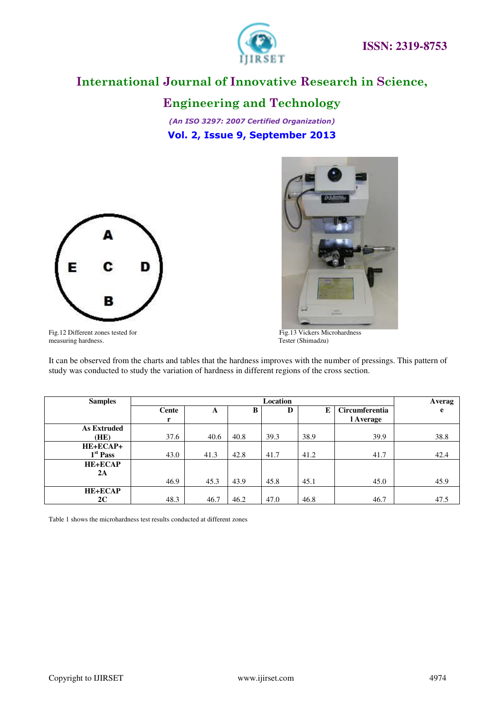

**Engineering and Technology**

*(An ISO 3297: 2007 Certified Organization)*  **Vol. 2, Issue 9, September 2013**





Fig.12 Different zones tested for<br>measuring hardness.<br>Tester (Shimadzu) measuring hardness.

It can be observed from the charts and tables that the hardness improves with the number of pressings. This pattern of study was conducted to study the variation of hardness in different regions of the cross section.

| <b>Samples</b>       |       | Location |      |      |      |                       |      |
|----------------------|-------|----------|------|------|------|-----------------------|------|
|                      | Cente | A        | В    | D    | E    | <b>Circumferentia</b> | e    |
|                      | r     |          |      |      |      | l Average             |      |
| <b>As Extruded</b>   |       |          |      |      |      |                       |      |
| (HE)                 | 37.6  | 40.6     | 40.8 | 39.3 | 38.9 | 39.9                  | 38.8 |
| HE+ECAP+             |       |          |      |      |      |                       |      |
| 1 <sup>st</sup> Pass | 43.0  | 41.3     | 42.8 | 41.7 | 41.2 | 41.7                  | 42.4 |
| <b>HE+ECAP</b>       |       |          |      |      |      |                       |      |
| 2A                   |       |          |      |      |      |                       |      |
|                      | 46.9  | 45.3     | 43.9 | 45.8 | 45.1 | 45.0                  | 45.9 |
| <b>HE+ECAP</b>       |       |          |      |      |      |                       |      |
| 2C                   | 48.3  | 46.7     | 46.2 | 47.0 | 46.8 | 46.7                  | 47.5 |

Table 1 shows the microhardness test results conducted at different zones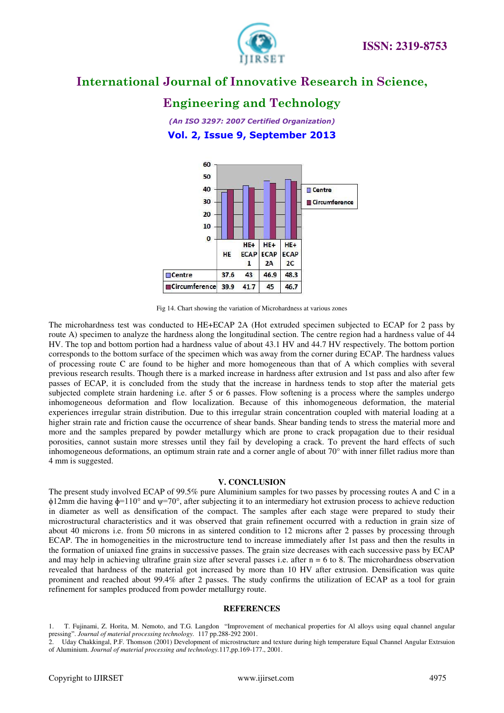

### **Engineering and Technology**

*(An ISO 3297: 2007 Certified Organization)*  **Vol. 2, Issue 9, September 2013**



Fig 14. Chart showing the variation of Microhardness at various zones

The microhardness test was conducted to HE+ECAP 2A (Hot extruded specimen subjected to ECAP for 2 pass by route A) specimen to analyze the hardness along the longitudinal section. The centre region had a hardness value of 44 HV. The top and bottom portion had a hardness value of about 43.1 HV and 44.7 HV respectively. The bottom portion corresponds to the bottom surface of the specimen which was away from the corner during ECAP. The hardness values of processing route C are found to be higher and more homogeneous than that of A which complies with several previous research results. Though there is a marked increase in hardness after extrusion and 1st pass and also after few passes of ECAP, it is concluded from the study that the increase in hardness tends to stop after the material gets subjected complete strain hardening i.e. after 5 or 6 passes. Flow softening is a process where the samples undergo inhomogeneous deformation and flow localization. Because of this inhomogeneous deformation, the material experiences irregular strain distribution. Due to this irregular strain concentration coupled with material loading at a higher strain rate and friction cause the occurrence of shear bands. Shear banding tends to stress the material more and more and the samples prepared by powder metallurgy which are prone to crack propagation due to their residual porosities, cannot sustain more stresses until they fail by developing a crack. To prevent the hard effects of such inhomogeneous deformations, an optimum strain rate and a corner angle of about 70° with inner fillet radius more than 4 mm is suggested.

#### **V. CONCLUSION**

The present study involved ECAP of 99.5% pure Aluminium samples for two passes by processing routes A and C in a  $\phi$ 12mm die having  $\phi$ =110° and  $\psi$ =70°, after subjecting it to an intermediary hot extrusion process to achieve reduction in diameter as well as densification of the compact. The samples after each stage were prepared to study their microstructural characteristics and it was observed that grain refinement occurred with a reduction in grain size of about 40 microns i.e. from 50 microns in as sintered condition to 12 microns after 2 passes by processing through ECAP. The in homogeneities in the microstructure tend to increase immediately after 1st pass and then the results in the formation of uniaxed fine grains in successive passes. The grain size decreases with each successive pass by ECAP and may help in achieving ultrafine grain size after several passes i.e. after  $n = 6$  to 8. The microhardness observation revealed that hardness of the material got increased by more than 10 HV after extrusion. Densification was quite prominent and reached about 99.4% after 2 passes. The study confirms the utilization of ECAP as a tool for grain refinement for samples produced from powder metallurgy route.

#### **REFERENCES**

- 1. T. Fujinami, Z. Horita, M. Nemoto, and T.G. Langdon "Improvement of mechanical properties for Al alloys using equal channel angular pressing". *Journal of material processing technology.* 117 pp.288-292 2001.
- 2. Uday Chakkingal, P.F. Thomson (2001) Development of microstructure and texture during high temperature Equal Channel Angular Extrsuion of Aluminium. *Journal of material processing and technology.*117,pp.169-177., 2001.